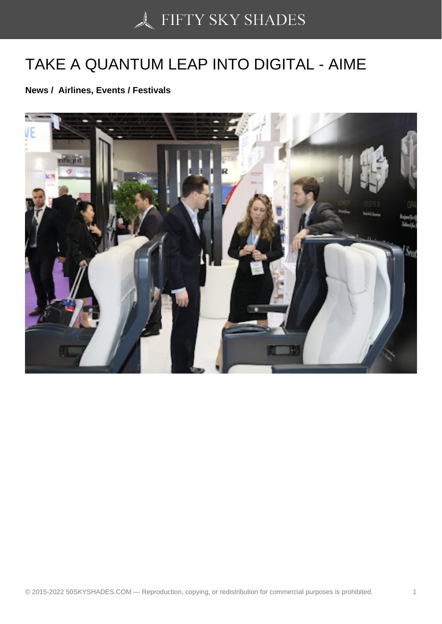## [TAKE A QUANTUM LE](https://50skyshades.com)AP INTO DIGITAL - AIME

News / Airlines, Events / Festivals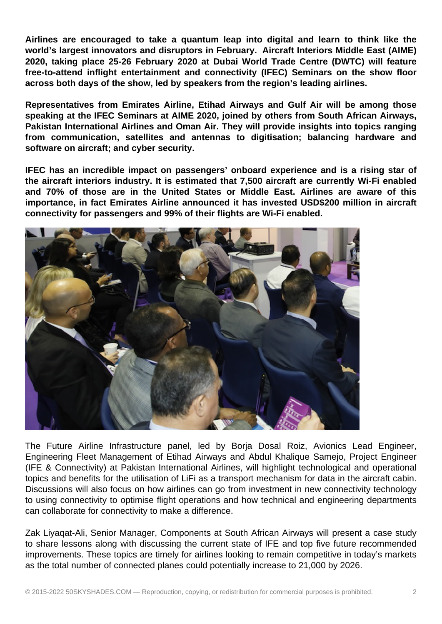**Airlines are encouraged to take a quantum leap into digital and learn to think like the world's largest innovators and disruptors in February. Aircraft Interiors Middle East (AIME) 2020, taking place 25-26 February 2020 at Dubai World Trade Centre (DWTC) will feature free-to-attend inflight entertainment and connectivity (IFEC) Seminars on the show floor across both days of the show, led by speakers from the region's leading airlines.**

**Representatives from Emirates Airline, Etihad Airways and Gulf Air will be among those speaking at the IFEC Seminars at AIME 2020, joined by others from South African Airways, Pakistan International Airlines and Oman Air. They will provide insights into topics ranging from communication, satellites and antennas to digitisation; balancing hardware and software on aircraft; and cyber security.**

**IFEC has an incredible impact on passengers' onboard experience and is a rising star of the aircraft interiors industry. It is estimated that 7,500 aircraft are currently Wi-Fi enabled and 70% of those are in the United States or Middle East. Airlines are aware of this importance, in fact Emirates Airline announced it has invested USD\$200 million in aircraft connectivity for passengers and 99% of their flights are Wi-Fi enabled.**



The Future Airline Infrastructure panel, led by Borja Dosal Roiz, Avionics Lead Engineer, Engineering Fleet Management of Etihad Airways and Abdul Khalique Samejo, Project Engineer (IFE & Connectivity) at Pakistan International Airlines, will highlight technological and operational topics and benefits for the utilisation of LiFi as a transport mechanism for data in the aircraft cabin. Discussions will also focus on how airlines can go from investment in new connectivity technology to using connectivity to optimise flight operations and how technical and engineering departments can collaborate for connectivity to make a difference.

Zak Liyaqat-Ali, Senior Manager, Components at South African Airways will present a case study to share lessons along with discussing the current state of IFE and top five future recommended improvements. These topics are timely for airlines looking to remain competitive in today's markets as the total number of connected planes could potentially increase to 21,000 by 2026.